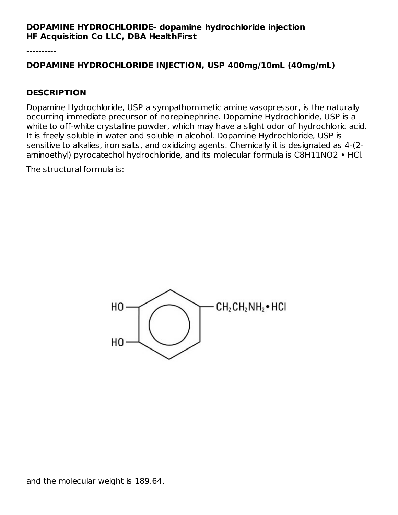#### **DOPAMINE HYDROCHLORIDE- dopamine hydrochloride injection HF Acquisition Co LLC, DBA HealthFirst**

----------

#### **DOPAMINE HYDROCHLORIDE INJECTION, USP 400mg/10mL (40mg/mL)**

#### **DESCRIPTION**

Dopamine Hydrochloride, USP a sympathomimetic amine vasopressor, is the naturally occurring immediate precursor of norepinephrine. Dopamine Hydrochloride, USP is a white to off-white crystalline powder, which may have a slight odor of hydrochloric acid. It is freely soluble in water and soluble in alcohol. Dopamine Hydrochloride, USP is sensitive to alkalies, iron salts, and oxidizing agents. Chemically it is designated as 4-(2 aminoethyl) pyrocatechol hydrochloride, and its molecular formula is C8H11NO2 • HCl.

The structural formula is:

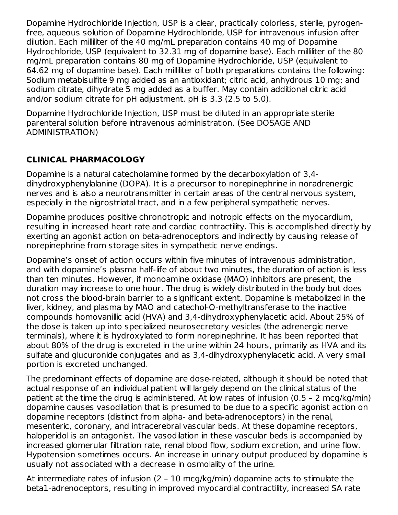Dopamine Hydrochloride Injection, USP is a clear, practically colorless, sterile, pyrogenfree, aqueous solution of Dopamine Hydrochloride, USP for intravenous infusion after dilution. Each milliliter of the 40 mg/mL preparation contains 40 mg of Dopamine Hydrochloride, USP (equivalent to 32.31 mg of dopamine base). Each milliliter of the 80 mg/mL preparation contains 80 mg of Dopamine Hydrochloride, USP (equivalent to 64.62 mg of dopamine base). Each milliliter of both preparations contains the following: Sodium metabisulfite 9 mg added as an antioxidant; citric acid, anhydrous 10 mg; and sodium citrate, dihydrate 5 mg added as a buffer. May contain additional citric acid and/or sodium citrate for pH adjustment. pH is 3.3 (2.5 to 5.0).

Dopamine Hydrochloride Injection, USP must be diluted in an appropriate sterile parenteral solution before intravenous administration. (See DOSAGE AND ADMINISTRATION)

# **CLINICAL PHARMACOLOGY**

Dopamine is a natural catecholamine formed by the decarboxylation of 3,4 dihydroxyphenylalanine (DOPA). It is a precursor to norepinephrine in noradrenergic nerves and is also a neurotransmitter in certain areas of the central nervous system, especially in the nigrostriatal tract, and in a few peripheral sympathetic nerves.

Dopamine produces positive chronotropic and inotropic effects on the myocardium, resulting in increased heart rate and cardiac contractility. This is accomplished directly by exerting an agonist action on beta-adrenoceptors and indirectly by causing release of norepinephrine from storage sites in sympathetic nerve endings.

Dopamine's onset of action occurs within five minutes of intravenous administration, and with dopamine's plasma half-life of about two minutes, the duration of action is less than ten minutes. However, if monoamine oxidase (MAO) inhibitors are present, the duration may increase to one hour. The drug is widely distributed in the body but does not cross the blood-brain barrier to a significant extent. Dopamine is metabolized in the liver, kidney, and plasma by MAO and catechol‑O-methyltransferase to the inactive compounds homovanillic acid (HVA) and 3,4‑dihydroxyphenylacetic acid. About 25% of the dose is taken up into specialized neurosecretory vesicles (the adrenergic nerve terminals), where it is hydroxylated to form norepinephrine. It has been reported that about 80% of the drug is excreted in the urine within 24 hours, primarily as HVA and its sulfate and glucuronide conjugates and as 3,4-dihydroxyphenylacetic acid. A very small portion is excreted unchanged.

The predominant effects of dopamine are dose-related, although it should be noted that actual response of an individual patient will largely depend on the clinical status of the patient at the time the drug is administered. At low rates of infusion (0.5 – 2 mcg/kg/min) dopamine causes vasodilation that is presumed to be due to a specific agonist action on dopamine receptors (distinct from alpha- and beta-adrenoceptors) in the renal, mesenteric, coronary, and intracerebral vascular beds. At these dopamine receptors, haloperidol is an antagonist. The vasodilation in these vascular beds is accompanied by increased glomerular filtration rate, renal blood flow, sodium excretion, and urine flow. Hypotension sometimes occurs. An increase in urinary output produced by dopamine is usually not associated with a decrease in osmolality of the urine.

At intermediate rates of infusion (2 – 10 mcg/kg/min) dopamine acts to stimulate the beta1-adrenoceptors, resulting in improved myocardial contractility, increased SA rate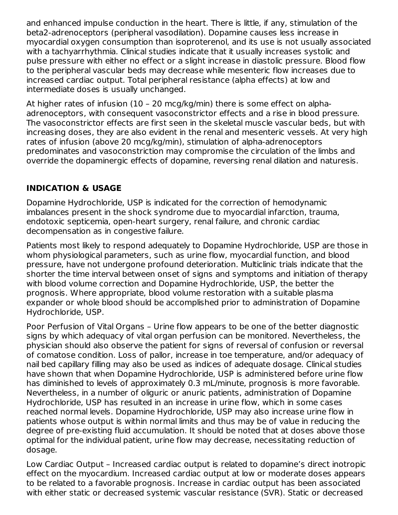and enhanced impulse conduction in the heart. There is little, if any, stimulation of the beta2-adrenoceptors (peripheral vasodilation). Dopamine causes less increase in myocardial oxygen consumption than isoproterenol, and its use is not usually associated with a tachyarrhythmia. Clinical studies indicate that it usually increases systolic and pulse pressure with either no effect or a slight increase in diastolic pressure. Blood flow to the peripheral vascular beds may decrease while mesenteric flow increases due to increased cardiac output. Total peripheral resistance (alpha effects) at low and intermediate doses is usually unchanged.

At higher rates of infusion (10 – 20 mcg/kg/min) there is some effect on alphaadrenoceptors, with consequent vasoconstrictor effects and a rise in blood pressure. The vasoconstrictor effects are first seen in the skeletal muscle vascular beds, but with increasing doses, they are also evident in the renal and mesenteric vessels. At very high rates of infusion (above 20 mcg/kg/min), stimulation of alpha-adrenoceptors predominates and vasoconstriction may compromise the circulation of the limbs and override the dopaminergic effects of dopamine, reversing renal dilation and naturesis.

# **INDICATION & USAGE**

Dopamine Hydrochloride, USP is indicated for the correction of hemodynamic imbalances present in the shock syndrome due to myocardial infarction, trauma, endotoxic septicemia, open-heart surgery, renal failure, and chronic cardiac decompensation as in congestive failure.

Patients most likely to respond adequately to Dopamine Hydrochloride, USP are those in whom physiological parameters, such as urine flow, myocardial function, and blood pressure, have not undergone profound deterioration. Multiclinic trials indicate that the shorter the time interval between onset of signs and symptoms and initiation of therapy with blood volume correction and Dopamine Hydrochloride, USP, the better the prognosis. Where appropriate, blood volume restoration with a suitable plasma expander or whole blood should be accomplished prior to administration of Dopamine Hydrochloride, USP.

Poor Perfusion of Vital Organs – Urine flow appears to be one of the better diagnostic signs by which adequacy of vital organ perfusion can be monitored. Nevertheless, the physician should also observe the patient for signs of reversal of confusion or reversal of comatose condition. Loss of pallor, increase in toe temperature, and/or adequacy of nail bed capillary filling may also be used as indices of adequate dosage. Clinical studies have shown that when Dopamine Hydrochloride, USP is administered before urine flow has diminished to levels of approximately 0.3 mL/minute, prognosis is more favorable. Nevertheless, in a number of oliguric or anuric patients, administration of Dopamine Hydrochloride, USP has resulted in an increase in urine flow, which in some cases reached normal levels. Dopamine Hydrochloride, USP may also increase urine flow in patients whose output is within normal limits and thus may be of value in reducing the degree of pre-existing fluid accumulation. It should be noted that at doses above those optimal for the individual patient, urine flow may decrease, necessitating reduction of dosage.

Low Cardiac Output – Increased cardiac output is related to dopamine's direct inotropic effect on the myocardium. Increased cardiac output at low or moderate doses appears to be related to a favorable prognosis. Increase in cardiac output has been associated with either static or decreased systemic vascular resistance (SVR). Static or decreased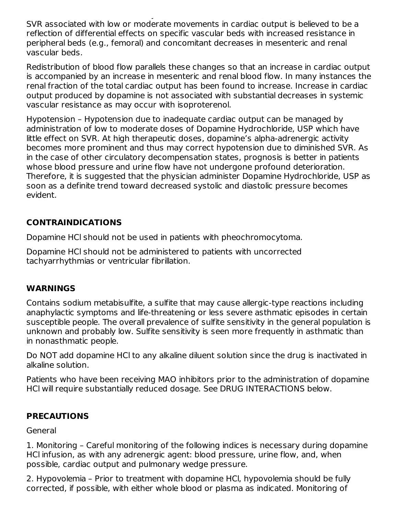with either static or decreased systemic vascular resistance (SVR). Static or decreased systemic vascular resi<br>Static or decreased systemic vascular resistance (SVR). Static or decreased systemic variable systemic variabl SVR associated with low or moderate movements in cardiac output is believed to be a reflection of differential effects on specific vascular beds with increased resistance in peripheral beds (e.g., femoral) and concomitant decreases in mesenteric and renal vascular beds.

Redistribution of blood flow parallels these changes so that an increase in cardiac output is accompanied by an increase in mesenteric and renal blood flow. In many instances the renal fraction of the total cardiac output has been found to increase. Increase in cardiac output produced by dopamine is not associated with substantial decreases in systemic vascular resistance as may occur with isoproterenol.

Hypotension – Hypotension due to inadequate cardiac output can be managed by administration of low to moderate doses of Dopamine Hydrochloride, USP which have little effect on SVR. At high therapeutic doses, dopamine's alpha-adrenergic activity becomes more prominent and thus may correct hypotension due to diminished SVR. As in the case of other circulatory decompensation states, prognosis is better in patients whose blood pressure and urine flow have not undergone profound deterioration. Therefore, it is suggested that the physician administer Dopamine Hydrochloride, USP as soon as a definite trend toward decreased systolic and diastolic pressure becomes evident.

### **CONTRAINDICATIONS**

Dopamine HCl should not be used in patients with pheochromocytoma.

Dopamine HCl should not be administered to patients with uncorrected tachyarrhythmias or ventricular fibrillation.

### **WARNINGS**

Contains sodium metabisulfite, a sulfite that may cause allergic-type reactions including anaphylactic symptoms and life-threatening or less severe asthmatic episodes in certain susceptible people. The overall prevalence of sulfite sensitivity in the general population is unknown and probably low. Sulfite sensitivity is seen more frequently in asthmatic than in nonasthmatic people.

Do NOT add dopamine HCl to any alkaline diluent solution since the drug is inactivated in alkaline solution.

Patients who have been receiving MAO inhibitors prior to the administration of dopamine HCl will require substantially reduced dosage. See DRUG INTERACTIONS below.

### **PRECAUTIONS**

General

1. Monitoring – Careful monitoring of the following indices is necessary during dopamine HCl infusion, as with any adrenergic agent: blood pressure, urine flow, and, when possible, cardiac output and pulmonary wedge pressure.

2. Hypovolemia – Prior to treatment with dopamine HCl, hypovolemia should be fully corrected, if possible, with either whole blood or plasma as indicated. Monitoring of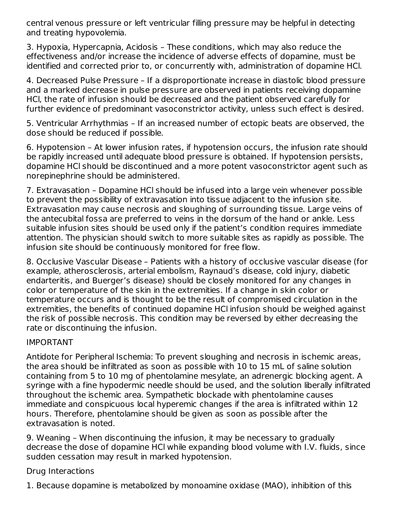central venous pressure or left ventricular filling pressure may be helpful in detecting and treating hypovolemia.

3. Hypoxia, Hypercapnia, Acidosis – These conditions, which may also reduce the effectiveness and/or increase the incidence of adverse effects of dopamine, must be identified and corrected prior to, or concurrently with, administration of dopamine HCl.

4. Decreased Pulse Pressure – If a disproportionate increase in diastolic blood pressure and a marked decrease in pulse pressure are observed in patients receiving dopamine HCl, the rate of infusion should be decreased and the patient observed carefully for further evidence of predominant vasoconstrictor activity, unless such effect is desired.

5. Ventricular Arrhythmias – If an increased number of ectopic beats are observed, the dose should be reduced if possible.

6. Hypotension – At lower infusion rates, if hypotension occurs, the infusion rate should be rapidly increased until adequate blood pressure is obtained. If hypotension persists, dopamine HCl should be discontinued and a more potent vasoconstrictor agent such as norepinephrine should be administered.

7. Extravasation – Dopamine HCl should be infused into a large vein whenever possible to prevent the possibility of extravasation into tissue adjacent to the infusion site. Extravasation may cause necrosis and sloughing of surrounding tissue. Large veins of the antecubital fossa are preferred to veins in the dorsum of the hand or ankle. Less suitable infusion sites should be used only if the patient's condition requires immediate attention. The physician should switch to more suitable sites as rapidly as possible. The infusion site should be continuously monitored for free flow.

8. Occlusive Vascular Disease – Patients with a history of occlusive vascular disease (for example, atherosclerosis, arterial embolism, Raynaud's disease, cold injury, diabetic endarteritis, and Buerger's disease) should be closely monitored for any changes in color or temperature of the skin in the extremities. If a change in skin color or temperature occurs and is thought to be the result of compromised circulation in the extremities, the benefits of continued dopamine HCl infusion should be weighed against the risk of possible necrosis. This condition may be reversed by either decreasing the rate or discontinuing the infusion.

### IMPORTANT

Antidote for Peripheral Ischemia: To prevent sloughing and necrosis in ischemic areas, the area should be infiltrated as soon as possible with 10 to 15 mL of saline solution containing from 5 to 10 mg of phentolamine mesylate, an adrenergic blocking agent. A syringe with a fine hypodermic needle should be used, and the solution liberally infiltrated throughout the ischemic area. Sympathetic blockade with phentolamine causes immediate and conspicuous local hyperemic changes if the area is infiltrated within 12 hours. Therefore, phentolamine should be given as soon as possible after the extravasation is noted.

9. Weaning – When discontinuing the infusion, it may be necessary to gradually decrease the dose of dopamine HCl while expanding blood volume with I.V. fluids, since sudden cessation may result in marked hypotension.

### Drug Interactions

1. Because dopamine is metabolized by monoamine oxidase (MAO), inhibition of this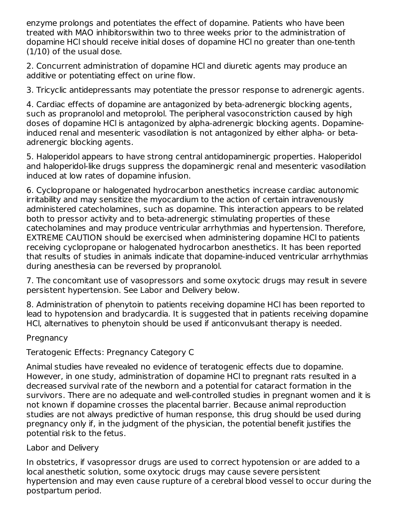enzyme prolongs and potentiates the effect of dopamine. Patients who have been treated with MAO inhibitorswithin two to three weeks prior to the administration of dopamine HCl should receive initial doses of dopamine HCl no greater than one-tenth (1/10) of the usual dose.

2. Concurrent administration of dopamine HCl and diuretic agents may produce an additive or potentiating effect on urine flow.

3. Tricyclic antidepressants may potentiate the pressor response to adrenergic agents.

4. Cardiac effects of dopamine are antagonized by beta-adrenergic blocking agents, such as propranolol and metoprolol. The peripheral vasoconstriction caused by high doses of dopamine HCl is antagonized by alpha-adrenergic blocking agents. Dopamineinduced renal and mesenteric vasodilation is not antagonized by either alpha- or betaadrenergic blocking agents.

5. Haloperidol appears to have strong central antidopaminergic properties. Haloperidol and haloperidol-like drugs suppress the dopaminergic renal and mesenteric vasodilation induced at low rates of dopamine infusion.

6. Cyclopropane or halogenated hydrocarbon anesthetics increase cardiac autonomic irritability and may sensitize the myocardium to the action of certain intravenously administered catecholamines, such as dopamine. This interaction appears to be related both to pressor activity and to beta-adrenergic stimulating properties of these catecholamines and may produce ventricular arrhythmias and hypertension. Therefore, EXTREME CAUTION should be exercised when administering dopamine HCl to patients receiving cyclopropane or halogenated hydrocarbon anesthetics. It has been reported that results of studies in animals indicate that dopamine-induced ventricular arrhythmias during anesthesia can be reversed by propranolol.

7. The concomitant use of vasopressors and some oxytocic drugs may result in severe persistent hypertension. See Labor and Delivery below.

8. Administration of phenytoin to patients receiving dopamine HCl has been reported to lead to hypotension and bradycardia. It is suggested that in patients receiving dopamine HCl, alternatives to phenytoin should be used if anticonvulsant therapy is needed.

**Pregnancy** 

Teratogenic Effects: Pregnancy Category C

Animal studies have revealed no evidence of teratogenic effects due to dopamine. However, in one study, administration of dopamine HCl to pregnant rats resulted in a decreased survival rate of the newborn and a potential for cataract formation in the survivors. There are no adequate and well-controlled studies in pregnant women and it is not known if dopamine crosses the placental barrier. Because animal reproduction studies are not always predictive of human response, this drug should be used during pregnancy only if, in the judgment of the physician, the potential benefit justifies the potential risk to the fetus.

### Labor and Delivery

In obstetrics, if vasopressor drugs are used to correct hypotension or are added to a local anesthetic solution, some oxytocic drugs may cause severe persistent hypertension and may even cause rupture of a cerebral blood vessel to occur during the postpartum period.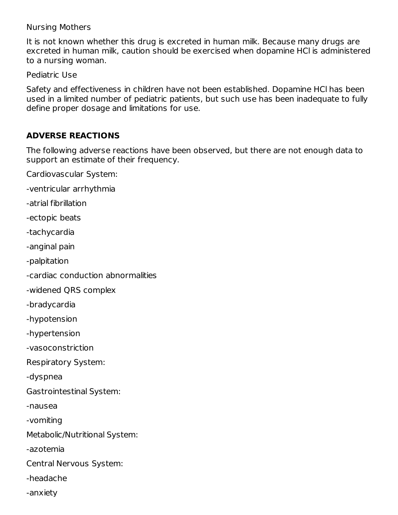Nursing Mothers

It is not known whether this drug is excreted in human milk. Because many drugs are excreted in human milk, caution should be exercised when dopamine HCl is administered to a nursing woman.

Pediatric Use

Safety and effectiveness in children have not been established. Dopamine HCl has been used in a limited number of pediatric patients, but such use has been inadequate to fully define proper dosage and limitations for use.

### **ADVERSE REACTIONS**

The following adverse reactions have been observed, but there are not enough data to support an estimate of their frequency.

Cardiovascular System:

- -ventricular arrhythmia
- -atrial fibrillation
- -ectopic beats
- -tachycardia
- -anginal pain
- -palpitation
- -cardiac conduction abnormalities
- -widened QRS complex
- -bradycardia
- -hypotension
- -hypertension
- -vasoconstriction
- Respiratory System:
- -dyspnea
- Gastrointestinal System:
- -nausea
- -vomiting
- Metabolic/Nutritional System:
- -azotemia
- Central Nervous System:
- -headache
- -anxiety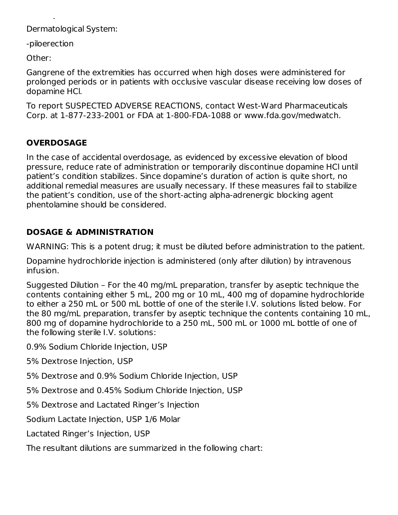Dermatological System:

-piloerection

Other:

-anxiety

Gangrene of the extremities has occurred when high doses were administered for prolonged periods or in patients with occlusive vascular disease receiving low doses of dopamine HCl.

To report SUSPECTED ADVERSE REACTIONS, contact West‐Ward Pharmaceuticals Corp. at 1‐877‐233‐2001 or FDA at 1‐800‐FDA‐1088 or www.fda.gov/medwatch.

# **OVERDOSAGE**

In the case of accidental overdosage, as evidenced by excessive elevation of blood pressure, reduce rate of administration or temporarily discontinue dopamine HCl until patient's condition stabilizes. Since dopamine's duration of action is quite short, no additional remedial measures are usually necessary. If these measures fail to stabilize the patient's condition, use of the short-acting alpha-adrenergic blocking agent phentolamine should be considered.

# **DOSAGE & ADMINISTRATION**

WARNING: This is a potent drug; it must be diluted before administration to the patient.

Dopamine hydrochloride injection is administered (only after dilution) by intravenous infusion.

Suggested Dilution – For the 40 mg/mL preparation, transfer by aseptic technique the contents containing either 5 mL, 200 mg or 10 mL, 400 mg of dopamine hydrochloride to either a 250 mL or 500 mL bottle of one of the sterile I.V. solutions listed below. For the 80 mg/mL preparation, transfer by aseptic technique the contents containing 10 mL, 800 mg of dopamine hydrochloride to a 250 mL, 500 mL or 1000 mL bottle of one of the following sterile I.V. solutions:

0.9% Sodium Chloride Injection, USP

5% Dextrose Injection, USP

5% Dextrose and 0.9% Sodium Chloride Injection, USP

5% Dextrose and 0.45% Sodium Chloride Injection, USP

5% Dextrose and Lactated Ringer's Injection

Sodium Lactate Injection, USP 1/6 Molar

Lactated Ringer's Injection, USP

The resultant dilutions are summarized in the following chart: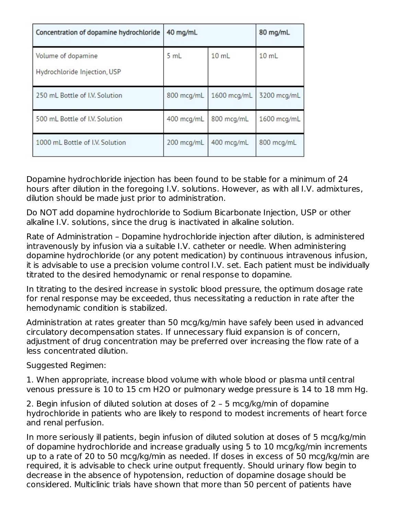| Concentration of dopamine hydrochloride            | 40 mg/mL   | 80 mg/mL    |             |
|----------------------------------------------------|------------|-------------|-------------|
| Volume of dopamine<br>Hydrochloride Injection, USP | 5 mL       | $10$ mL     | $10$ mL     |
| 250 mL Bottle of I.V. Solution                     | 800 mcg/mL | 1600 mcg/mL | 3200 mcg/mL |
| 500 mL Bottle of I.V. Solution                     | 400 mcg/mL | 800 mcg/mL  | 1600 mcg/mL |
| 1000 mL Bottle of I.V. Solution                    | 200 mcg/mL | 400 mcg/mL  | 800 mcg/mL  |

Dopamine hydrochloride injection has been found to be stable for a minimum of 24 hours after dilution in the foregoing I.V. solutions. However, as with all I.V. admixtures, dilution should be made just prior to administration.

Do NOT add dopamine hydrochloride to Sodium Bicarbonate Injection, USP or other alkaline I.V. solutions, since the drug is inactivated in alkaline solution.

Rate of Administration – Dopamine hydrochloride injection after dilution, is administered intravenously by infusion via a suitable I.V. catheter or needle. When administering dopamine hydrochloride (or any potent medication) by continuous intravenous infusion, it is advisable to use a precision volume control I.V. set. Each patient must be individually titrated to the desired hemodynamic or renal response to dopamine.

In titrating to the desired increase in systolic blood pressure, the optimum dosage rate for renal response may be exceeded, thus necessitating a reduction in rate after the hemodynamic condition is stabilized.

Administration at rates greater than 50 mcg/kg/min have safely been used in advanced circulatory decompensation states. If unnecessary fluid expansion is of concern, adjustment of drug concentration may be preferred over increasing the flow rate of a less concentrated dilution.

Suggested Regimen:

1. When appropriate, increase blood volume with whole blood or plasma until central venous pressure is 10 to 15 cm H2O or pulmonary wedge pressure is 14 to 18 mm Hg.

2. Begin infusion of diluted solution at doses of 2 – 5 mcg/kg/min of dopamine hydrochloride in patients who are likely to respond to modest increments of heart force and renal perfusion.

In more seriously ill patients, begin infusion of diluted solution at doses of 5 mcg/kg/min of dopamine hydrochloride and increase gradually using 5 to 10 mcg/kg/min increments up to a rate of 20 to 50 mcg/kg/min as needed. If doses in excess of 50 mcg/kg/min are required, it is advisable to check urine output frequently. Should urinary flow begin to decrease in the absence of hypotension, reduction of dopamine dosage should be considered. Multiclinic trials have shown that more than 50 percent of patients have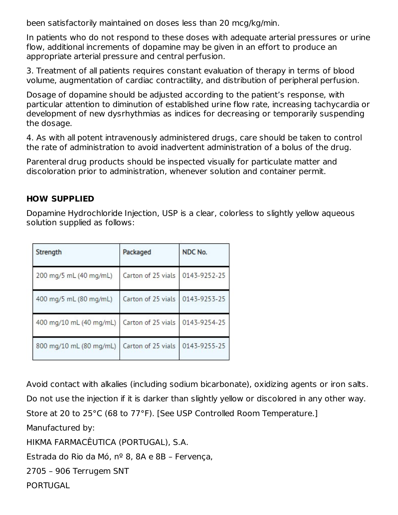been satisfactorily maintained on doses less than 20 mcg/kg/min.

In patients who do not respond to these doses with adequate arterial pressures or urine flow, additional increments of dopamine may be given in an effort to produce an appropriate arterial pressure and central perfusion.

3. Treatment of all patients requires constant evaluation of therapy in terms of blood volume, augmentation of cardiac contractility, and distribution of peripheral perfusion.

Dosage of dopamine should be adjusted according to the patient's response, with particular attention to diminution of established urine flow rate, increasing tachycardia or development of new dysrhythmias as indices for decreasing or temporarily suspending the dosage.

4. As with all potent intravenously administered drugs, care should be taken to control the rate of administration to avoid inadvertent administration of a bolus of the drug.

Parenteral drug products should be inspected visually for particulate matter and discoloration prior to administration, whenever solution and container permit.

### **HOW SUPPLIED**

Dopamine Hydrochloride Injection, USP is a clear, colorless to slightly yellow aqueous solution supplied as follows:

| Strength                | Packaged           | NDC No.      |  |
|-------------------------|--------------------|--------------|--|
| 200 mg/5 mL (40 mg/mL)  | Carton of 25 vials | 0143-9252-25 |  |
| 400 mg/5 mL (80 mg/mL)  | Carton of 25 vials | 0143-9253-25 |  |
| 400 mg/10 mL (40 mg/mL) | Carton of 25 vials | 0143-9254-25 |  |
| 800 mg/10 mL (80 mg/mL) | Carton of 25 vials | 0143-9255-25 |  |

Avoid contact with alkalies (including sodium bicarbonate), oxidizing agents or iron salts. Do not use the injection if it is darker than slightly yellow or discolored in any other way. Store at 20 to 25°C (68 to 77°F). [See USP Controlled Room Temperature.] Manufactured by: HIKMA FARMACÊUTICA (PORTUGAL), S.A. Estrada do Rio da Mó, nº 8, 8A e 8B – Fervença, 2705 – 906 Terrugem SNT PORTUGAL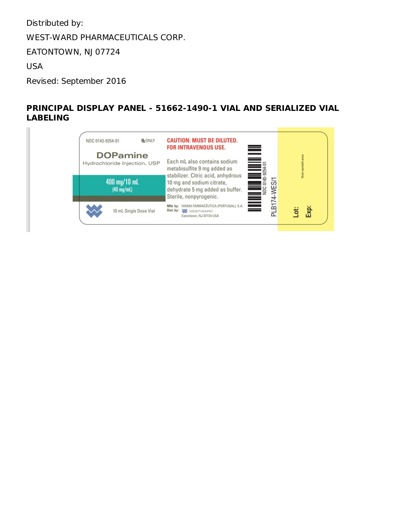Distributed by:

WEST-WARD PHARMACEUTICALS CORP.

EATONTOWN, NJ 07724

USA

Revised: September 2016

### **PRINCIPAL DISPLAY PANEL - 51662-1490-1 VIAL AND SERIALIZED VIAL LABELING**

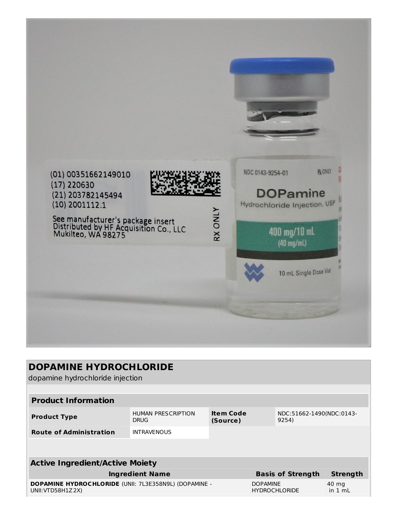

# **DOPAMINE HYDROCHLORIDE**

dopamine hydrochloride injection

| <b>Product Information</b>                                                |                                          |                              |                 |                                   |                    |  |
|---------------------------------------------------------------------------|------------------------------------------|------------------------------|-----------------|-----------------------------------|--------------------|--|
| <b>Product Type</b>                                                       | <b>HUMAN PRESCRIPTION</b><br><b>DRUG</b> | <b>Item Code</b><br>(Source) |                 | NDC:51662-1490(NDC:0143-<br>9254) |                    |  |
| <b>Route of Administration</b>                                            | <b>INTRAVENOUS</b>                       |                              |                 |                                   |                    |  |
|                                                                           |                                          |                              |                 |                                   |                    |  |
| <b>Active Ingredient/Active Moiety</b>                                    |                                          |                              |                 |                                   |                    |  |
| <b>Ingredient Name</b>                                                    |                                          |                              |                 | <b>Basis of Strength</b>          | <b>Strength</b>    |  |
| DOPAMINE HYDROCHLORIDE (UNII: 7L3E358N9L) (DOPAMINE -<br>UNII: VTD58H1Z2X |                                          |                              | <b>DOPAMINE</b> | <b>HYDROCHLORIDE</b>              | 40 mg<br>in $1 mL$ |  |